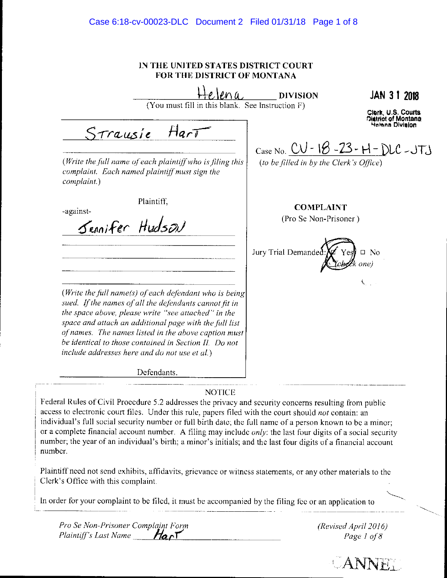IN THE UNITED STATES DISTRICT COURT **FOR THE DISTRICT OF MONTANA** 

 $\ell$ na **JAN 3 1 2018 DIVISION** (You must fill in this blank. See Instruction F) Clark, U.S. Courts **District of Montana Helena Division**  $Ha\overline{\sqrt{}}$ Strausie Case No. CU - 18 - 23 - H - DLC - JTJ (to be filled in by the Clerk's Office) (Write the full name of each plaintiff who is filing this complaint. Each named plaintiff must sign the complaint.) Plaintiff, **COMPLAINT** -against-Sennifer Hudson (Pro Se Non-Prisoner) Jury Trial Demanded  $\square$  No Ċ (Write the full name(s) of each defendant who is being sued. If the names of all the defendants cannot fit in the space above, please write "see attached" in the space and attach an additional page with the full list of names. The names listed in the above caption must be identical to those contained in Section II. Do not include addresses here and do not use et al.) Defendants. **NOTICE** 

Federal Rules of Civil Procedure 5.2 addresses the privacy and security concerns resulting from public access to electronic court files. Under this rule, papers filed with the court should not contain: an individual's full social security number or full birth date; the full name of a person known to be a minor; or a complete financial account number. A filing may include only: the last four digits of a social security number; the year of an individual's birth; a minor's initials; and the last four digits of a financial account number.

Plaintiff need not send exhibits, affidavits, grievance or witness statements, or any other materials to the Clerk's Office with this complaint.

In order for your complaint to be filed, it must be accompanied by the filing fee or an application to

Pro Se Non-Prisoner Complaint Form Plaintiff's Last Name  $Ha \cap T$ 

(Revised April 2016) Page 1 of 8

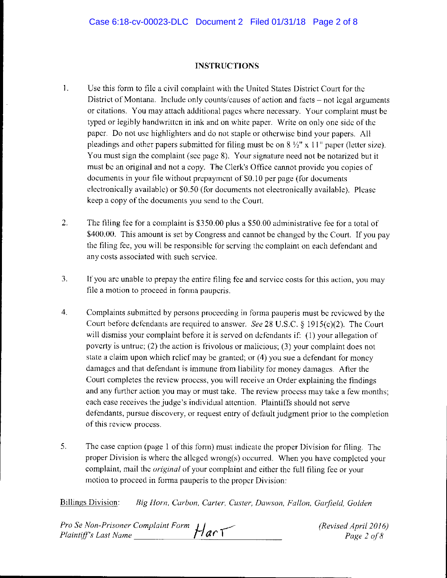### **INSTRUCTIONS**

- l. Use this form to file a civil complaint with the United States District Court for the District of Montana. Include only counts/causes of action and facts – not legal arguments or citations. You may attach additional pages where necessary. Your complaint must be typed or legibly handwritten in ink and on white paper. Write on only one side of the paper. Do not use highlighters and do not staple or otherwise bind your papers. All pleadings and other papers submitted for filing must be on 8 ½" x 11" paper (letter size). You must sign the complaint (sec page 8). Your signature need not be notarized but it must be an original and not a copy. The Clerk's Office cannot provide you copies of documents in your file without prepayment of \$0.10 per page (for documents electronically available) or \$0.50 (for documents not electronically available). Please keep a copy of the documents you send to the Court.
- 2. The filing fee for a complaint is \$350.00 plus a \$50.00 administrative fee for a total of \$400.00. This amount is set by Congress and cannot be changed by the Court. If you pay the filing fee, you will be responsible for serving the complaint on each defendant and any costs associated with such service.
- 3. If you arc unable to prepay the entire filing fee and service costs for this action, you may file a motion to proceed in forma pauperis.
- 4. Complaints submitted by persons proceeding in forma pauperis must be reviewed by the Court before defendants are required to answer. *See* 28 U.S.C. § 1915(c)(2). The Court will dismiss your complaint before it is served on defendants if: ( 1) your allegation of poverty is untrue; (2) the action is frivolous or malicious; (3) your complaint does not state a claim upon which relief may be granted; or (4) you sue a defendant for money damages and that defendant is immune from liability for money damages. After the Court completes the review process, you will receive an Order explaining the findings and any further action you may or must take. The review process may take a few months; each case receives the judge's individual attention. Plaintiffs should not serve defendants, pursue discovery, or request entry of default judgment prior to lhe completion of this review process.
- 5. The case caption (page 1 of this form) must indicate the proper Division for filing. The proper Division is where the alleged wrong(s) occurred. When you have completed your complaint, mail the *original* of your complaint and either the full filing fee or your motion to proceed in fonna pauperis to the proper Division:

Billings Division: *Big Horn, Carbon, Carter, Custer, Dawson, Fallon, Garfield, Golden* 

| Pro Se Non-Prisoner Complaint Form $\mu$ $\alpha$ $\tau$ | (Revised April 2016) |
|----------------------------------------------------------|----------------------|
| Plaintiff's Last Name                                    | Page 2 of 8          |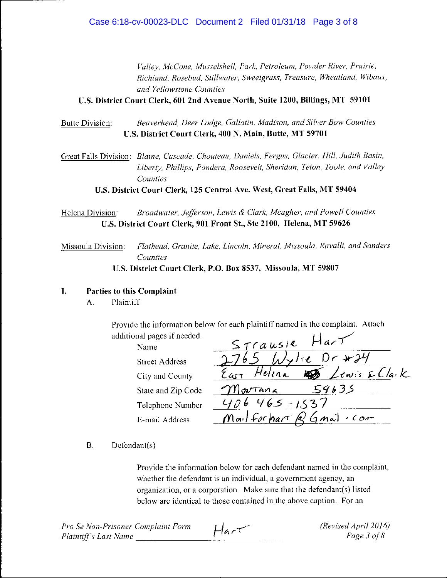*Valley, McCone, Musselshell, Park, Petroleum, Powder R;ver, Pra;rie, Richland, Rosebud, Sll'llwater, Sweetgrass, Treasure, Wheatland, Wibaux, and Yellowstone Counties* 

**U.S. District Court Clerk, 601 2nd Avenue North, Suite 1200, Billings, MT 59101** 

# Butte Division: *Beaverhead, Deer Lodge, Gallatin, Madison, and Silver Bow Counties*  **U.S. District Court Clerk, 400 N. Main, Butte, MT 59701**

Great Falls Division: *Blaine, Cascade, Chouteau, Daniels, Fergus, Glacier, Hill, Judith Basin, Liberty, Phillips, Pondera, Roosevelt, Sheridan, Teton, Toole, and Valley Counties* 

**U.S. District Court Clerk, 125 Central Ave. West, Great Falls, MT 59404** 

Helena Division: *Broadwater, Jefferson, Lewis & Clark, Meagher, and Powell Counties*  **U.S. District Court Clerk, 901 Front St., Ste 2100, Helena, MT 59626** 

Missoula Division: *Flathead, Granite, Lake, Lincoln, Mineral, Afissoula, Ravalli, and Sanders Counties*  **U.S. District Court Clerk, P.O. Box 8537, Missoula, MT 59807** 

# **I. Parties to this Complaint**

A. Plaintiff

Provide the information below for each plaintiff named in the complaint. Attach additional pages if needed.

Name Street Address City and County State and Zip Code Telephone Number E-mail Address

| Strausle Hart                |
|------------------------------|
| 2765 Wylie Dr #24            |
| Eact Helena 15 Lewis & Clark |
| Martana 59635                |
| $406465 - 1537$              |
| Mail for hart Q Gmail . com  |

B. Dcfcndant(s)

Provide the information below for each defendant named in the complaint, whether the defendant is an individual, a government agency, an organization, or a corporation. Make sure that the defcndant(s) listed below are identical to those contained in the above caption. For an

| Pro Se Non-Prisoner Complaint Form | $H$ ar $\tau$ | (Revised April 2016) |
|------------------------------------|---------------|----------------------|
| Plaintiff's Last Name              |               | Page 3 of 8          |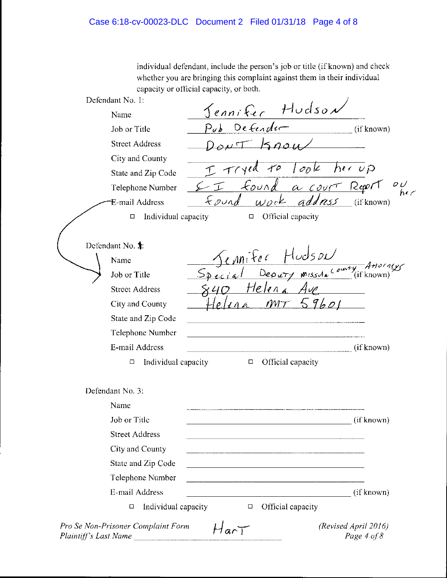individual defendant, include the person's job or title (if known) and check whether you arc bringing this complaint against them in their individual capacity or official capacity, or both.

| Defendant No. 1:                                            |                                                                                                                       |
|-------------------------------------------------------------|-----------------------------------------------------------------------------------------------------------------------|
| Name                                                        | <u>Jennifer</u> Hudson                                                                                                |
| Job or Title                                                | Pub Defender<br>(if known)                                                                                            |
| <b>Street Address</b>                                       | h                                                                                                                     |
| City and County                                             |                                                                                                                       |
| State and Zip Code                                          | $T$ $T$ $\gamma$ ed                                                                                                   |
| Telephone Number                                            | yed to look her up<br>found a court Report<br>$\frac{\partial U}{\partial \epsilon}$                                  |
| E-mail Address                                              | $wock$ address (if known)<br>Found                                                                                    |
| Individual capacity<br>$\Box$                               | Official capacity<br>$\Box$                                                                                           |
|                                                             |                                                                                                                       |
| Defendant No. <sup>1</sup> :                                |                                                                                                                       |
| Name                                                        | <u>Sennifer</u> Hudson<br>Special Deputy missila <sup>county</sup> (if known)                                         |
| Job or Title                                                |                                                                                                                       |
| <b>Street Address</b>                                       | Helena Aup                                                                                                            |
| City and County                                             | MT59601                                                                                                               |
| State and Zip Code                                          |                                                                                                                       |
| Telephone Number                                            |                                                                                                                       |
| E-mail Address                                              | (if known)                                                                                                            |
| Individual capacity<br>□                                    | Official capacity<br>$\Box$                                                                                           |
| Defendant No. 3:                                            |                                                                                                                       |
| Name                                                        |                                                                                                                       |
| Job or Title                                                | (if known)                                                                                                            |
| <b>Street Address</b>                                       | 1000 - 1000 - 1000 - 1000 - 1000 - 1000 - 1000 - 1000 - 1000 - 1000 - 1000 - 1000 - 1000 - 1000 - 10                  |
| City and County                                             |                                                                                                                       |
| State and Zip Code                                          |                                                                                                                       |
| Telephone Number                                            | <u> 1989 - Johann Harry Harry Harry Harry Harry Harry Harry Harry Harry Harry Harry Harry Harry Harry Harry Harry</u> |
| E-mail Address                                              | (if known)<br><u> 1980 - Johann Barbara, martin da basar a</u>                                                        |
| Individual capacity<br>□                                    | Official capacity<br>$\Box$                                                                                           |
| Pro Se Non-Prisoner Complaint Form<br>Plaintiff's Last Name | (Revised April 2016)<br>HarT<br>Page 4 of 8                                                                           |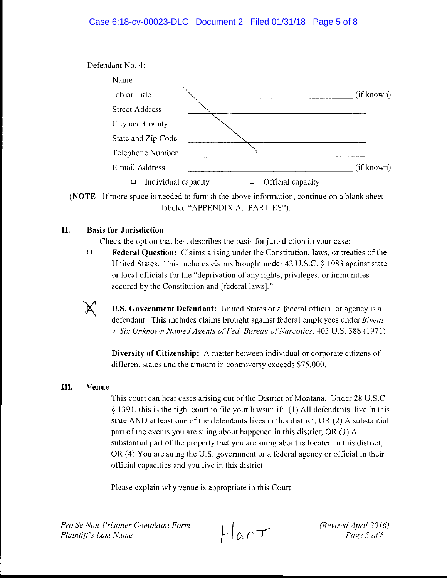# Case 6:18-cv-00023-DLC Document 2 Filed 01/31/18 Page 5 of 8



**(NOTE:** If more space is needed to furnish the above information, continue on a blank sheet labeled "APPENDIX A: PARTIES").

## **II. Basis for Jurisdiction**

Check the option that best describes the basis for jurisdiction in your case:

<sup>D</sup>**Federal Question:** Claims arising under the Constitution, laws, or treaties of the United States. This includes claims brought under 42 U.S.C. § 1983 against state or local officials for the "deprivation of any rights, privileges, or immunities secured by the Constitution and [federal laws]."



<sup>D</sup>**Diversity of Citizenship:** A matter between individual or corporate citizens of different states and the amount in controversy exceeds \$75,000.

### **III. Venue**

This court can hear cases arising out of the District of Montana. Under 28 U.S.C § 1391, this is the right court to file your lawsuit if: (1) All defendants live in this state AND at least one of the defendants lives in this district; OR (2) A substantial part of the events you are suing about happened in this district; OR (3) A substantial part of the property that you are suing about is located in this district; OR (4) You are suing the U.S. government or a federal agency or official in their official capacities and you live in this district.

Please explain why venue is appropriate in this Court:

*(Revised April* 2016) *Page 5 o/8*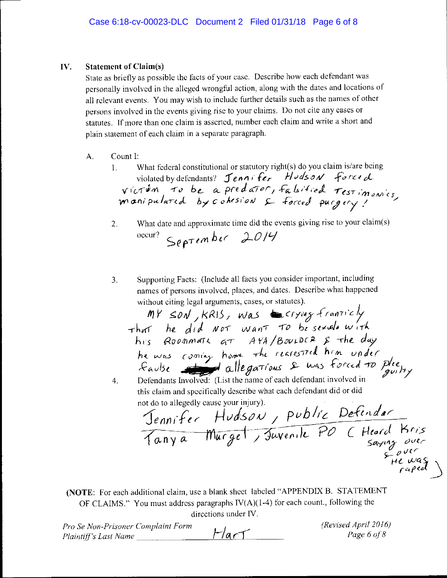### IV. **Statement of Claim(s)**

State as briefly as possible the facts of your case. Describe how each defendant was personally involved in the alleged wrongful action, along with the dates and locations of all relevant events. You may wish to include further details such as the names of other persons involved in the events giving rise to your claims. Do not cite any cases or statutes. If more than one claim is asserted, number each claim and write a short and plain statement of each claim in a separate paragraph.

- Count I: А.
	- What federal constitutional or statutory right(s) do you claim is/are being  $1.$ violated by defendants? Jennifer Hudson forced victum to be a predator, falsified restimanies,
	- What date and approximate time did the events giving rise to your claim(s)  $2.$ September 2014  $occur?$
	- Supporting Facts: (Include all facts you consider important, including 3. names of persons involved, places, and dates. Describe what happened without citing legal arguments, cases, or statutes).

my son, KRIS, was crying franticly<br>That he did Not want to be sexual with<br>his Roommate at AYA/Bourder & the day<br>he was coming home the rearested him under<br>Faulse

Defendants Involved: (List the name of each defendant involved in  $4.$ this claim and specifically describe what each defendant did or did not do to allegedly cause your injury).

refendants Involveu.<br>
is claim and specifically describe what each description.<br>
ot do to allegedly cause your injury).<br> *Jennifer* Hudson, public Po (Heard Kristany a Murget, Juvenile Po (Heard Kristany avecution)

(NOTE: For each additional claim, use a blank sheet labeled "APPENDIX B. STATEMENT OF CLAIMS." You must address paragraphs  $IV(A)(1-4)$  for each count., following the directions under IV.

| Pro Se Non-Prisoner Complaint Form |            | (Revised April 2016) |
|------------------------------------|------------|----------------------|
| Plaintiff's Last Name              | $F/a \tau$ | Page 6 of 8          |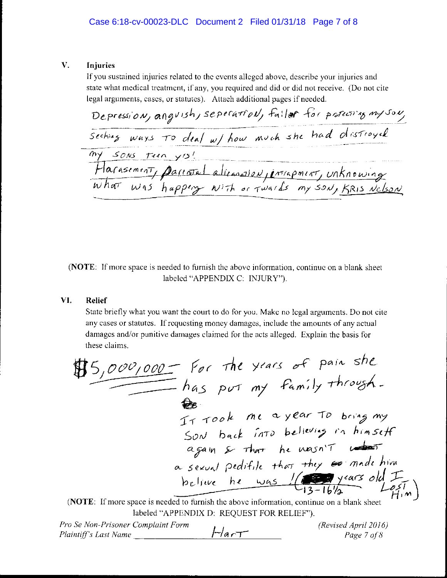#### $V_{-}$ Injuries

If you sustained injuries related to the events alleged above, describe your injuries and state what medical treatment, if any, you required and did or did not receive. (Do not cite legal arguments, cases, or statutes). Attach additional pages if needed.

Depression, anguish, seperation, failer for protecting myson, my sons turn yis! .<br>1991 – <del>Alexandria Charles de Carlos de Charles de Carlos de La</del>nger, marques en la propiesa de la carlo de la p Harasement, particula dicanalism, interpretat, unknowing

(NOTE: If more space is needed to furnish the above information, continue on a blank sheet labeled "APPENDIX C: INJURY").

### VI. **Relief**

State briefly what you want the court to do for you. Make no legal arguments. Do not cite any cases or statutes. If requesting money damages, include the amounts of any actual damages and/or punitive damages claimed for the acts alleged. Explain the basis for these claims.

$$
\begin{array}{r}\n\text{3,000,000} & \text{For the years of pain she} \\
\hline\nha\text{.} \text{for my family through} \\
\hline\n\text{as port my family through} \\
\text{Sov back in to begin by that he wasn't under a search.\n\end{array}
$$
\n
$$
\begin{array}{r}\n\text{Sov back into believes in himself} \\
\text{as a small peditile that they are made him} \\
\text{belive he was } \\
\hline\n\text{13-16/2} & \text{14/3} \\
\end{array}
$$

(NOTE: If more space is needed to furnish the above information, continue on a blank sheet labeled "APPENDIX D: REQUEST FOR RELIEF").

Pro Se Non-Prisoner Complaint Form (Revised April 2016)  $FlarT$ Plaintiff's Last Name Page 7 of 8